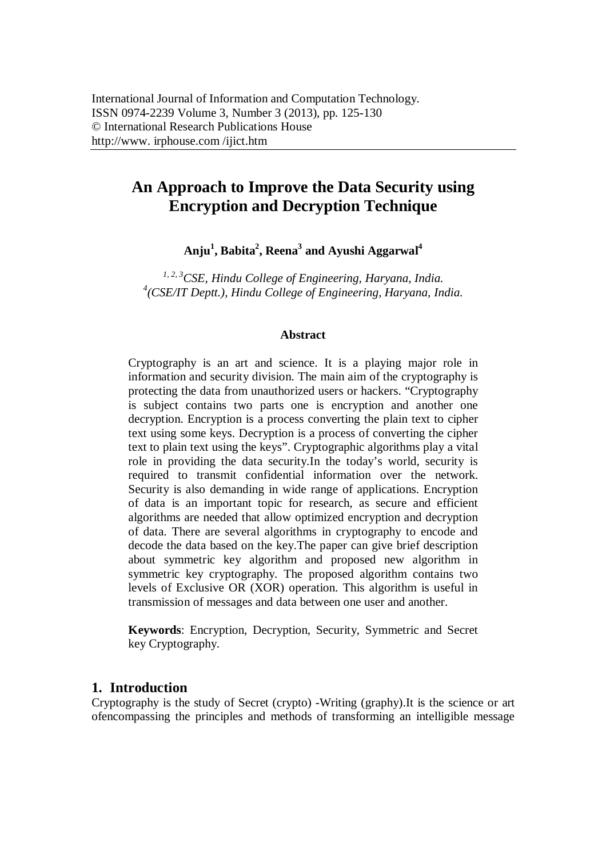# **An Approach to Improve the Data Security using Encryption and Decryption Technique**

**Anju<sup>1</sup> , Babita<sup>2</sup> , Reena<sup>3</sup> and Ayushi Aggarwal<sup>4</sup>**

*1, 2, 3CSE, Hindu College of Engineering, Haryana, India. 4 (CSE/IT Deptt.), Hindu College of Engineering, Haryana, India.*

### **Abstract**

Cryptography is an art and science. It is a playing major role in information and security division. The main aim of the cryptography is protecting the data from unauthorized users or hackers. "Cryptography is subject contains two parts one is encryption and another one decryption. Encryption is a process converting the plain text to cipher text using some keys. Decryption is a process of converting the cipher text to plain text using the keys". Cryptographic algorithms play a vital role in providing the data security.In the today's world, security is required to transmit confidential information over the network. Security is also demanding in wide range of applications. Encryption of data is an important topic for research, as secure and efficient algorithms are needed that allow optimized encryption and decryption of data. There are several algorithms in cryptography to encode and decode the data based on the key.The paper can give brief description about symmetric key algorithm and proposed new algorithm in symmetric key cryptography. The proposed algorithm contains two levels of Exclusive OR (XOR) operation. This algorithm is useful in transmission of messages and data between one user and another.

**Keywords**: Encryption, Decryption, Security, Symmetric and Secret key Cryptography.

# **1. Introduction**

Cryptography is the study of Secret (crypto) -Writing (graphy).It is the science or art ofencompassing the principles and methods of transforming an intelligible message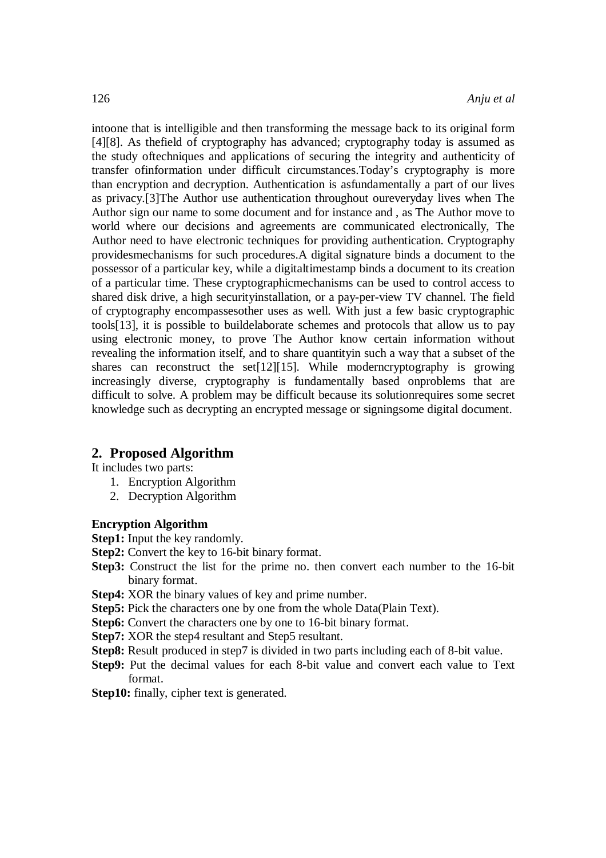intoone that is intelligible and then transforming the message back to its original form [4][8]. As thefield of cryptography has advanced; cryptography today is assumed as the study oftechniques and applications of securing the integrity and authenticity of transfer ofinformation under difficult circumstances.Today's cryptography is more than encryption and decryption. Authentication is asfundamentally a part of our lives as privacy.[3]The Author use authentication throughout oureveryday lives when The Author sign our name to some document and for instance and , as The Author move to world where our decisions and agreements are communicated electronically, The Author need to have electronic techniques for providing authentication. Cryptography providesmechanisms for such procedures.A digital signature binds a document to the possessor of a particular key, while a digitaltimestamp binds a document to its creation of a particular time. These cryptographicmechanisms can be used to control access to shared disk drive, a high securityinstallation, or a pay-per-view TV channel. The field of cryptography encompassesother uses as well. With just a few basic cryptographic tools[13], it is possible to buildelaborate schemes and protocols that allow us to pay using electronic money, to prove The Author know certain information without revealing the information itself, and to share quantityin such a way that a subset of the shares can reconstruct the set[12][15]. While moderncryptography is growing increasingly diverse, cryptography is fundamentally based onproblems that are difficult to solve. A problem may be difficult because its solutionrequires some secret knowledge such as decrypting an encrypted message or signingsome digital document.

# **2. Proposed Algorithm**

It includes two parts:

- 1. Encryption Algorithm
- 2. Decryption Algorithm

### **Encryption Algorithm**

- **Step1:** Input the key randomly.
- **Step2:** Convert the key to 16-bit binary format.
- **Step3:** Construct the list for the prime no. then convert each number to the 16-bit binary format.
- **Step4:** XOR the binary values of key and prime number.
- **Step5:** Pick the characters one by one from the whole Data(Plain Text).
- **Step6:** Convert the characters one by one to 16-bit binary format.
- **Step7:** XOR the step4 resultant and Step5 resultant.
- **Step8:** Result produced in step7 is divided in two parts including each of 8-bit value.
- **Step9:** Put the decimal values for each 8-bit value and convert each value to Text format.
- **Step10:** finally, cipher text is generated.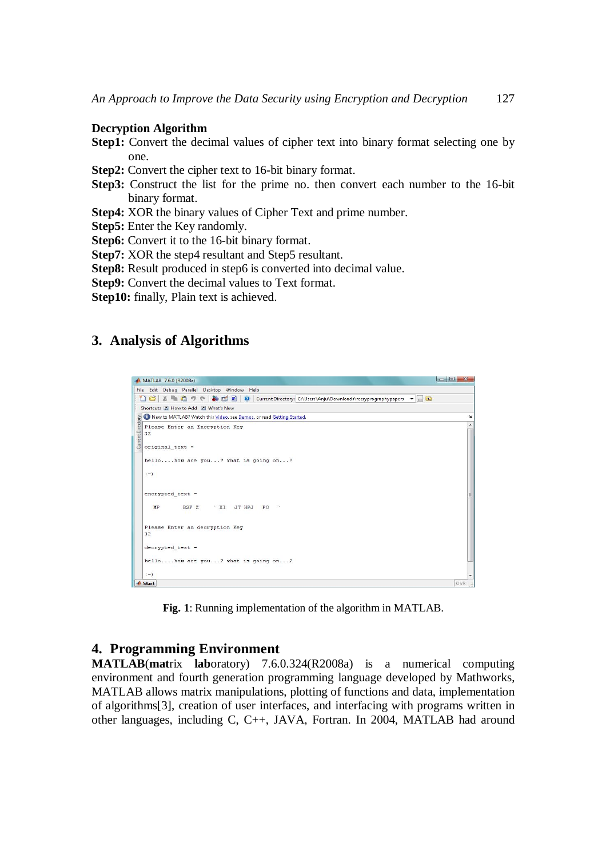#### **Decryption Algorithm**

- **Step1:** Convert the decimal values of cipher text into binary format selecting one by one.
- **Step2:** Convert the cipher text to 16-bit binary format.
- **Step3:** Construct the list for the prime no. then convert each number to the 16-bit binary format.
- **Step4:** XOR the binary values of Cipher Text and prime number.
- **Step5:** Enter the Key randomly.
- **Step6:** Convert it to the 16-bit binary format.
- **Step7:** XOR the step4 resultant and Step5 resultant.
- **Step8:** Result produced in step6 is converted into decimal value.
- **Step9:** Convert the decimal values to Text format.
- **Step10:** finally, Plain text is achieved.

# **3. Analysis of Algorithms**



**Fig. 1**: Running implementation of the algorithm in MATLAB.

### **4. Programming Environment**

**MATLAB**(**mat**rix **lab**oratory) 7.6.0.324(R2008a) is a numerical computing environment and fourth generation programming language developed by Mathworks, MATLAB allows matrix manipulations, plotting of functions and data, implementation of algorithms[3], creation of user interfaces, and interfacing with programs written in other languages, including C, C++, JAVA, Fortran. In 2004, MATLAB had around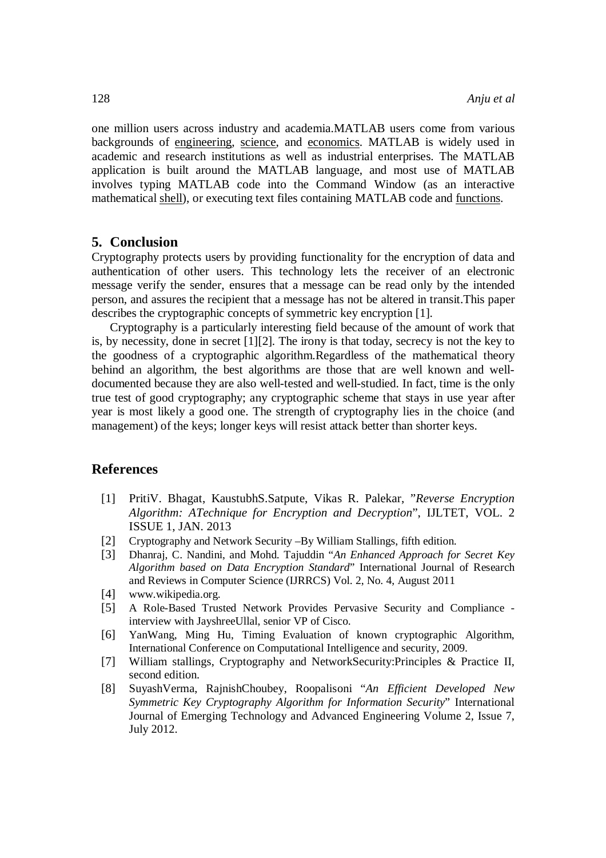one million users across industry and academia.MATLAB users come from various backgrounds of engineering, science, and economics. MATLAB is widely used in academic and research institutions as well as industrial enterprises. The MATLAB application is built around the MATLAB language, and most use of MATLAB involves typing MATLAB code into the Command Window (as an interactive mathematical shell), or executing text files containing MATLAB code and functions.

### **5. Conclusion**

Cryptography protects users by providing functionality for the encryption of data and authentication of other users. This technology lets the receiver of an electronic message verify the sender, ensures that a message can be read only by the intended person, and assures the recipient that a message has not be altered in transit.This paper describes the cryptographic concepts of symmetric key encryption [1].

Cryptography is a particularly interesting field because of the amount of work that is, by necessity, done in secret [1][2]. The irony is that today, secrecy is not the key to the goodness of a cryptographic algorithm.Regardless of the mathematical theory behind an algorithm, the best algorithms are those that are well known and welldocumented because they are also well-tested and well-studied. In fact, time is the only true test of good cryptography; any cryptographic scheme that stays in use year after year is most likely a good one. The strength of cryptography lies in the choice (and management) of the keys; longer keys will resist attack better than shorter keys.

### **References**

- [1] PritiV. Bhagat, KaustubhS.Satpute, Vikas R. Palekar, "*Reverse Encryption Algorithm: ATechnique for Encryption and Decryption*", IJLTET, VOL. 2 ISSUE 1, JAN. 2013
- [2] Cryptography and Network Security –By William Stallings, fifth edition.
- [3] Dhanraj, C. Nandini, and Mohd. Tajuddin "*An Enhanced Approach for Secret Key Algorithm based on Data Encryption Standard*" International Journal of Research and Reviews in Computer Science (IJRRCS) Vol. 2, No. 4, August 2011
- [4] www.wikipedia.org.
- [5] A Role-Based Trusted Network Provides Pervasive Security and Compliance interview with JayshreeUllal, senior VP of Cisco.
- [6] YanWang, Ming Hu, Timing Evaluation of known cryptographic Algorithm, International Conference on Computational Intelligence and security, 2009.
- [7] William stallings, Cryptography and NetworkSecurity:Principles & Practice II, second edition.
- [8] SuyashVerma, RajnishChoubey, Roopalisoni "*An Efficient Developed New Symmetric Key Cryptography Algorithm for Information Security*" International Journal of Emerging Technology and Advanced Engineering Volume 2, Issue 7, July 2012.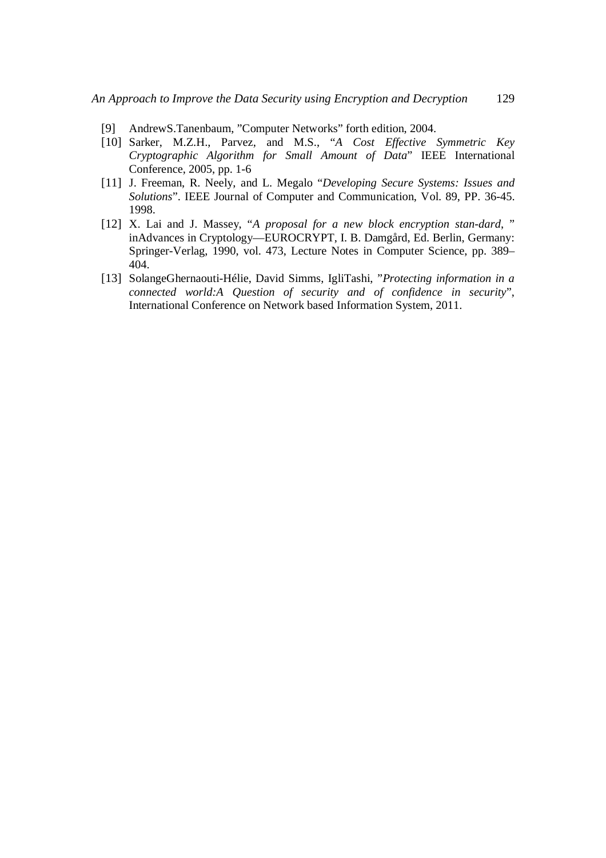- [9] AndrewS.Tanenbaum, "Computer Networks" forth edition, 2004.
- [10] Sarker, M.Z.H., Parvez, and M.S., "*A Cost Effective Symmetric Key Cryptographic Algorithm for Small Amount of Data*" IEEE International Conference, 2005, pp. 1-6
- [11] J. Freeman, R. Neely, and L. Megalo "*Developing Secure Systems: Issues and Solutions*". IEEE Journal of Computer and Communication, Vol. 89, PP. 36-45. 1998.
- [12] X. Lai and J. Massey, "*A proposal for a new block encryption stan-dard*, " inAdvances in Cryptology—EUROCRYPT, I. B. Damgård, Ed. Berlin, Germany: Springer-Verlag, 1990, vol. 473, Lecture Notes in Computer Science, pp. 389– 404.
- [13] SolangeGhernaouti-Hélie, David Simms, IgliTashi, "*Protecting information in a connected world:A Question of security and of confidence in security*", International Conference on Network based Information System, 2011.